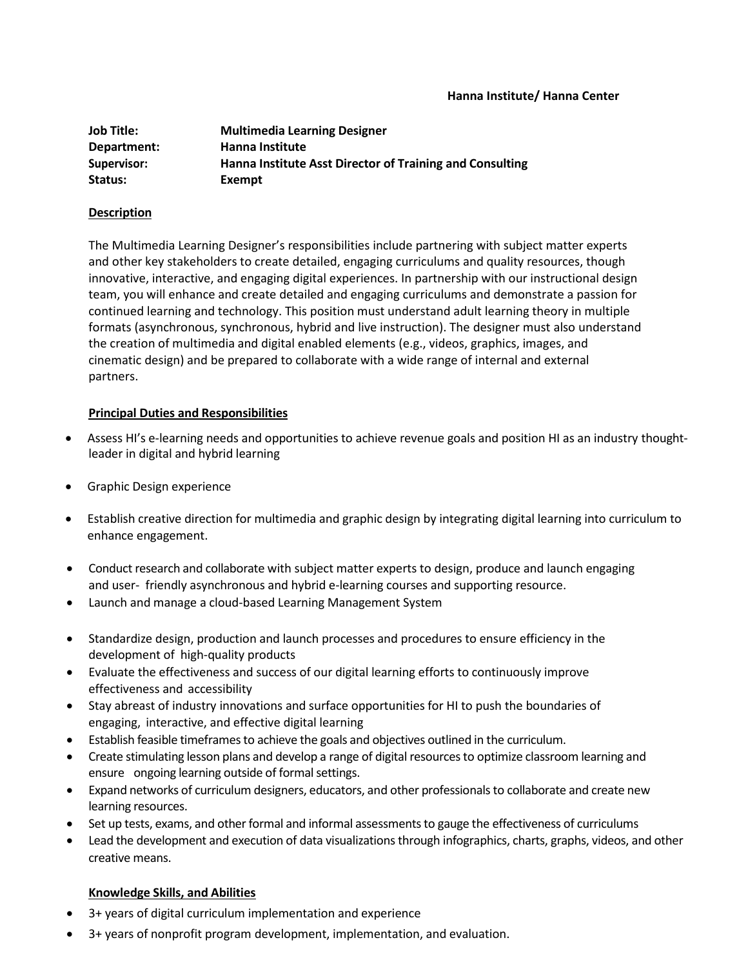#### **Hanna Institute/ Hanna Center**

| <b>Job Title:</b> | <b>Multimedia Learning Designer</b>                      |
|-------------------|----------------------------------------------------------|
| Department:       | Hanna Institute                                          |
| Supervisor:       | Hanna Institute Asst Director of Training and Consulting |
| Status:           | Exempt                                                   |

#### **Description**

The Multimedia Learning Designer's responsibilities include partnering with subject matter experts and other key stakeholders to create detailed, engaging curriculums and quality resources, though innovative, interactive, and engaging digital experiences. In partnership with our instructional design team, you will enhance and create detailed and engaging curriculums and demonstrate a passion for continued learning and technology. This position must understand adult learning theory in multiple formats (asynchronous, synchronous, hybrid and live instruction). The designer must also understand the creation of multimedia and digital enabled elements (e.g., videos, graphics, images, and cinematic design) and be prepared to collaborate with a wide range of internal and external partners.

## **Principal Duties and Responsibilities**

- Assess HI's e-learning needs and opportunities to achieve revenue goals and position HI as an industry thoughtleader in digital and hybrid learning
- Graphic Design experience
- Establish creative direction for multimedia and graphic design by integrating digital learning into curriculum to enhance engagement.
- Conduct research and collaborate with subject matter experts to design, produce and launch engaging and user- friendly asynchronous and hybrid e-learning courses and supporting resource.
- Launch and manage a cloud-based Learning Management System
- Standardize design, production and launch processes and procedures to ensure efficiency in the development of high-quality products
- Evaluate the effectiveness and success of our digital learning efforts to continuously improve effectiveness and accessibility
- Stay abreast of industry innovations and surface opportunities for HI to push the boundaries of engaging, interactive, and effective digital learning
- Establish feasible timeframes to achieve the goals and objectives outlined in the curriculum.
- Create stimulating lesson plans and develop a range of digitalresourcesto optimize classroom learning and ensure ongoing learning outside of formal settings.
- Expand networks of curriculum designers, educators, and other professionals to collaborate and create new learning resources.
- Set up tests, exams, and other formal and informal assessments to gauge the effectiveness of curriculums
- Lead the development and execution of data visualizations through infographics, charts, graphs, videos, and other creative means.

## **Knowledge Skills, and Abilities**

- 3+ years of digital curriculum implementation and experience
- 3+ years of nonprofit program development, implementation, and evaluation.